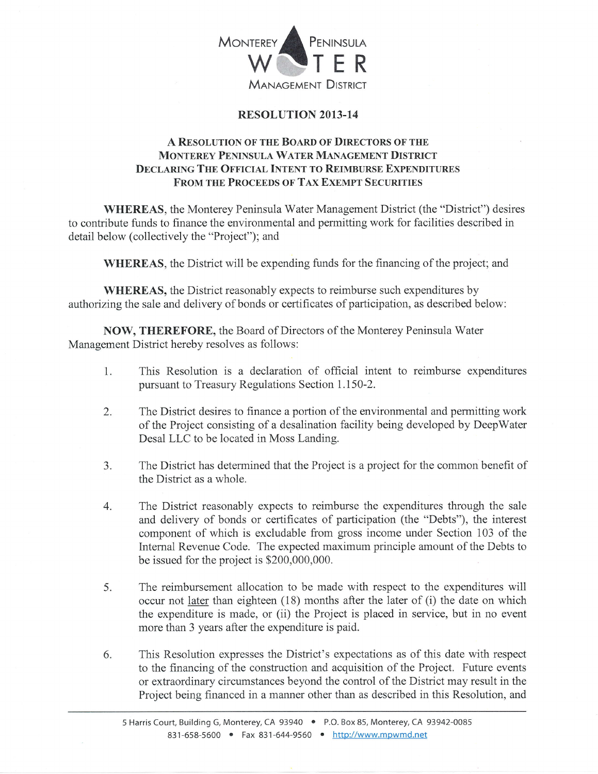

## RESOLUTION 2013-14

## A RESOLUTION OF THE BOARD OF DIRECTORS OF THE MONTEREY PENINSULA WATER MANAGEMENT DISTRICT DECLARING THE OFFICIAL INTENT TO REIMBURSE EXPENDITURES FROM THE PROCEEDS OF TAX EXEMPT SECURITIES

WHEREAS, the Monterey Peninsula Water Management District (the "District") desires to contribute funds to finance the environmental and permitting work for facilities described in detail below (collectively the "Project"); and

WHEREAS, the District will be expending funds for the financing of the project; and

WHEREAS, the District reasonably expects to reimburse such expenditures by authorizing the sale and delivery of bonds or certificates of participation, as described below:

NOW, THEREFORE, the Board of Directors of the Monterey Peninsula Water Management District hereby resolves as follows:

- l. This Resolution is a declaration of official intent to reimburse expenditures pursuant to Treasury Regulations Section I.I50-2,
- The District desires to finance a portion of the environmental and permitting work of the Project consisting of a desalination facility being developed by DeepWater Desal LLC to be located in Moss Landing. 2.
- 3. The District has determined that the Project is a project for the common benefit of the District as a whole.
- 4. The District reasonably expects to reimburse the expenditures through the sale and delivery of bonds or certificates of participation (the "Debts"), the interest component of which is excludable from gross income under Section 103 of the Intemal Revenue Code. The expected maximum principle amount of the Debts to be issued for the project is \$200,000,000.
- 5. The reimbursement allocation to be made with respect to the expenditures will occur not later than eighteen (18) months after the later of (i) the date on which the expenditure is made, or (ii) the Project is placed in service, but in no event more than 3 years after the expenditure is paid.
- 6. This Resolution expresses the District's expectations as of this date with respect to the financing of the construction and acquisition of the Project. Future events or extraordinary circumstances beyond the control of the District may result in the Project being financed in a manner other than as described in this Resolution, and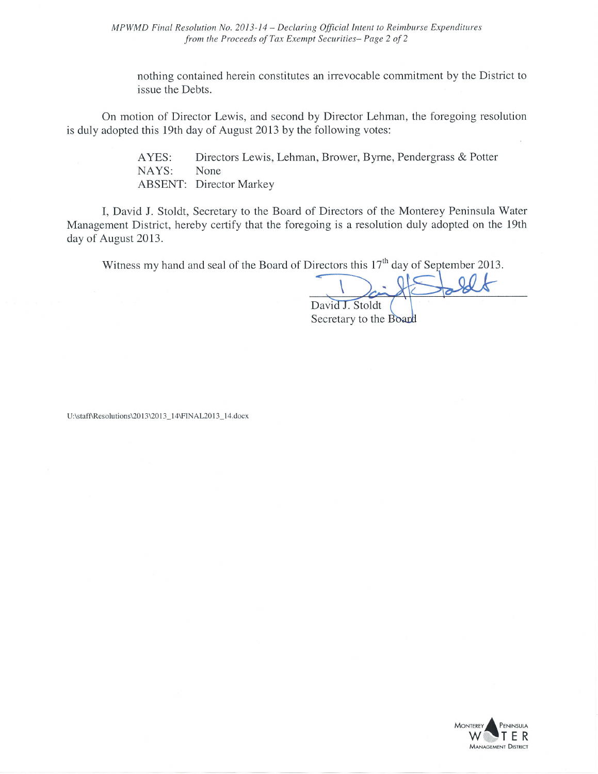MPWMD Final Resolution No. 2013-14 - Declaring Official Intent to Reimburse Expenditures from the Proceeds of Tax Exempt Securities-Page 2 of 2

nothing contained herein constitutes an irrevocable commitment by the District to issue the Debts.

On motion of Director Lewis, and second by Director Lehman, the foregoing resolution is duly adopted this 19th day of August 2013 by the following votes:

> Directors Lewis, Lehman, Brower, Byrne, Pendergrass & Potter AYES: NAYS: None **ABSENT: Director Markey**

I, David J. Stoldt, Secretary to the Board of Directors of the Monterey Peninsula Water Management District, hereby certify that the foregoing is a resolution duly adopted on the 19th day of August 2013.

Witness my hand and seal of the Board of Directors this  $17<sup>th</sup>$  day of September 2013.

David J. Stoldt

Secretary to the Board

U:\staff\Resolutions\2013\2013\_14\FINAL2013\_14.docx